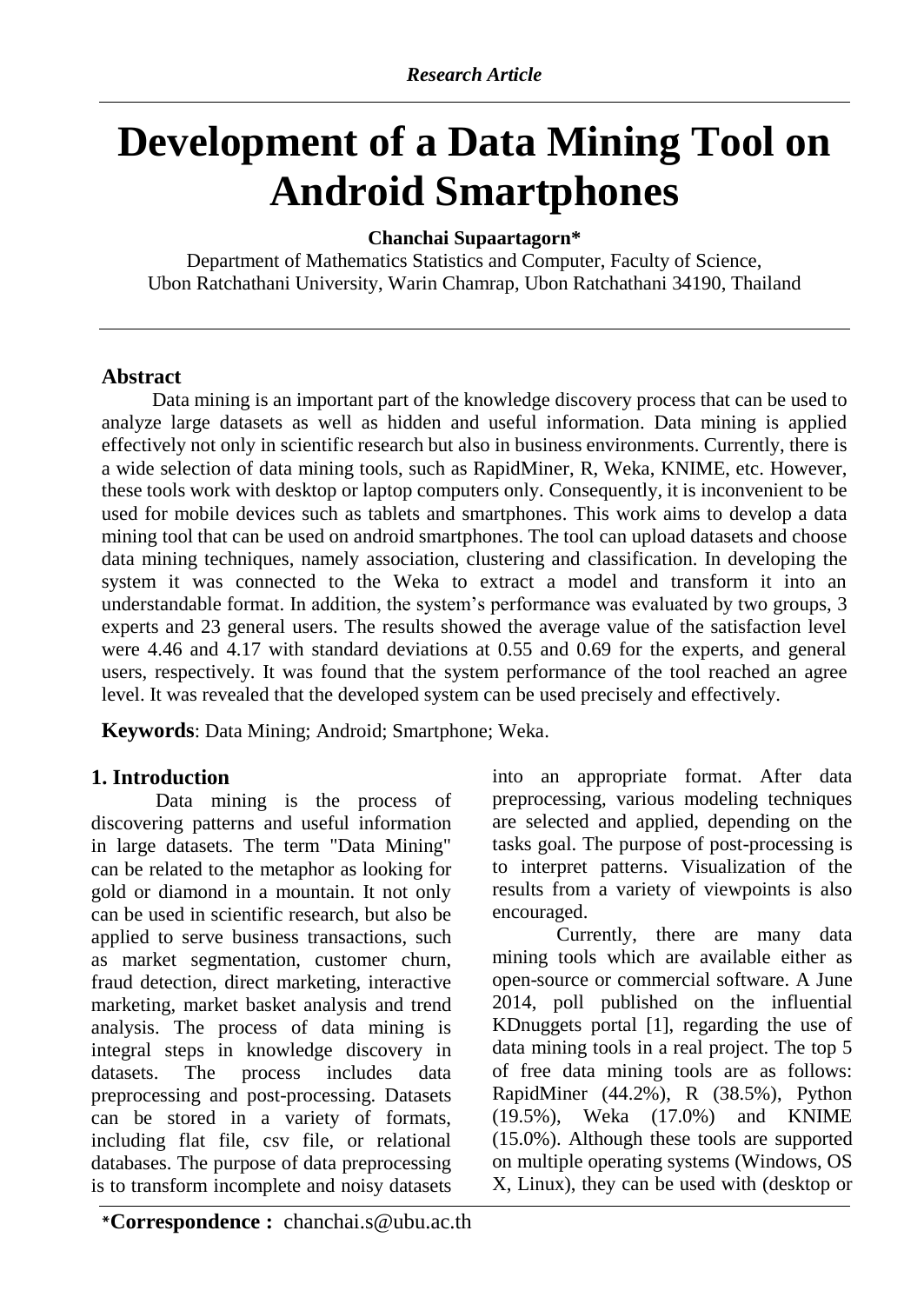# **Development of a Data Mining Tool on Android Smartphones**

## **Chanchai Supaartagorn\***

Department of Mathematics Statistics and Computer, Faculty of Science, Ubon Ratchathani University, Warin Chamrap, Ubon Ratchathani 34190, Thailand

## **Abstract**

Data mining is an important part of the knowledge discovery process that can be used to analyze large datasets as well as hidden and useful information. Data mining is applied effectively not only in scientific research but also in business environments. Currently, there is a wide selection of data mining tools, such as RapidMiner, R, Weka, KNIME, etc. However, these tools work with desktop or laptop computers only. Consequently, it is inconvenient to be used for mobile devices such as tablets and smartphones. This work aims to develop a data mining tool that can be used on android smartphones. The tool can upload datasets and choose data mining techniques, namely association, clustering and classification. In developing the system it was connected to the Weka to extract a model and transform it into an understandable format. In addition, the system's performance was evaluated by two groups, 3 experts and 23 general users. The results showed the average value of the satisfaction level were 4.46 and 4.17 with standard deviations at 0.55 and 0.69 for the experts, and general users, respectively. It was found that the system performance of the tool reached an agree level. It was revealed that the developed system can be used precisely and effectively.

**Keywords**: Data Mining; Android; Smartphone; Weka.

# **1. Introduction**

Data mining is the process of discovering patterns and useful information in large datasets. The term "Data Mining" can be related to the metaphor as looking for gold or diamond in a mountain. It not only can be used in scientific research, but also be applied to serve business transactions, such as market segmentation, customer churn, fraud detection, direct marketing, interactive marketing, market basket analysis and trend analysis. The process of data mining is integral steps in knowledge discovery in datasets. The process includes data preprocessing and post-processing. Datasets can be stored in a variety of formats, including flat file, csv file, or relational databases. The purpose of data preprocessing is to transform incomplete and noisy datasets

into an appropriate format. After data preprocessing, various modeling techniques are selected and applied, depending on the tasks goal. The purpose of post-processing is to interpret patterns. Visualization of the results from a variety of viewpoints is also encouraged.

Currently, there are many data mining tools which are available either as open-source or commercial software. A June 2014, poll published on the influential KDnuggets portal [1], regarding the use of data mining tools in a real project. The top 5 of free data mining tools are as follows: RapidMiner (44.2%), R (38.5%), Python (19.5%), Weka (17.0%) and KNIME (15.0%). Although these tools are supported on multiple operating systems (Windows, OS X, Linux), they can be used with (desktop or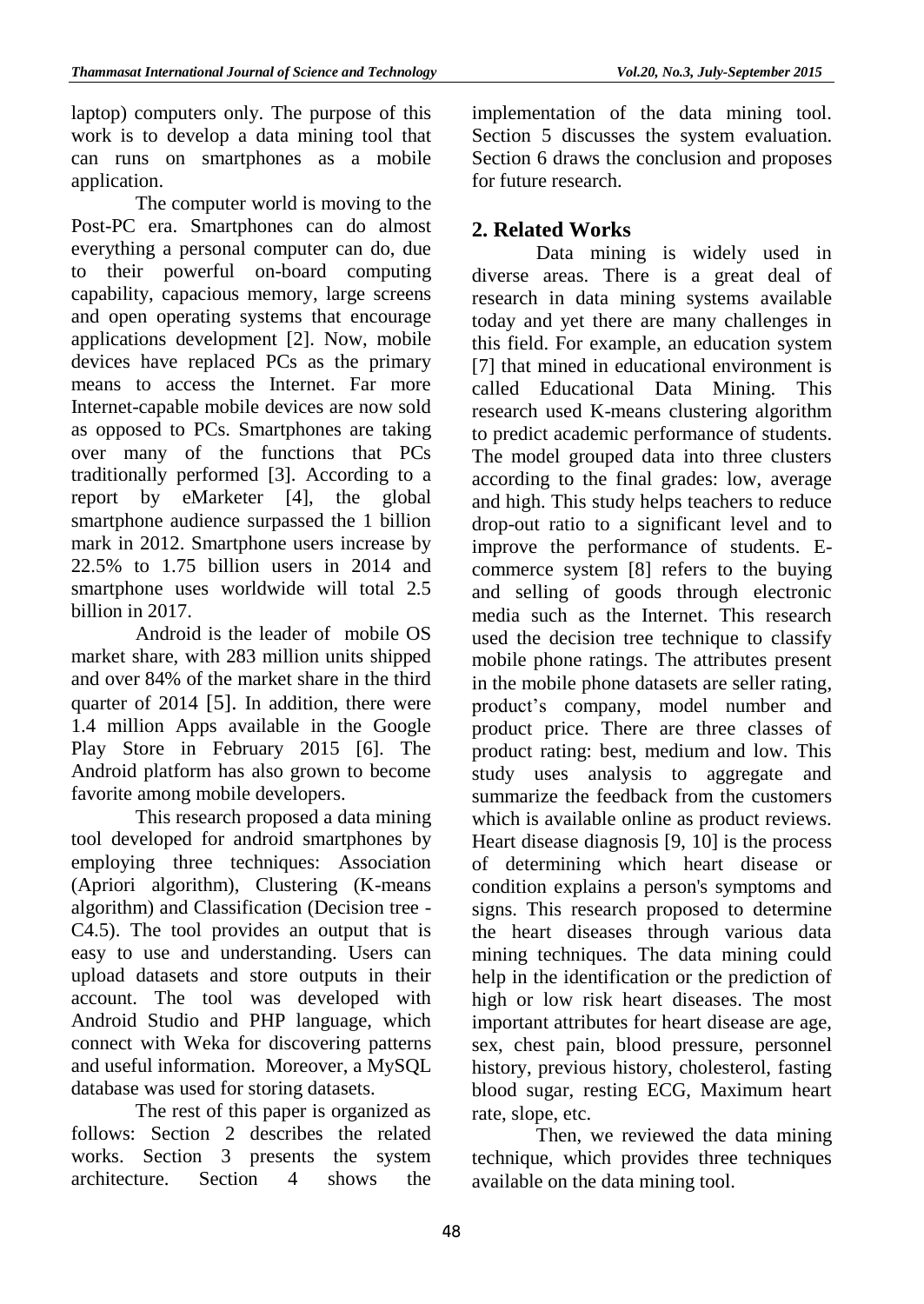laptop) computers only. The purpose of this work is to develop a data mining tool that can runs on smartphones as a mobile application.

The computer world is moving to the Post-PC era. Smartphones can do almost everything a personal computer can do, due to their powerful on-board computing capability, capacious memory, large screens and open operating systems that encourage applications development [2]. Now, mobile devices have replaced PCs as the primary means to access the Internet. Far more Internet-capable mobile devices are now sold as opposed to PCs. Smartphones are taking over many of the functions that PCs traditionally performed [3]. According to a report by eMarketer [4], the global smartphone audience surpassed the 1 billion mark in 2012. Smartphone users increase by 22.5% to 1.75 billion users in 2014 and smartphone uses worldwide will total 2.5 billion in 2017.

Android is the leader of mobile OS market share, with 283 million units shipped and over 84% of the market share in the third quarter of 2014 [5]. In addition, there were 1.4 million Apps available in the Google Play Store in February 2015 [6]. The Android platform has also grown to become favorite among mobile developers.

This research proposed a data mining tool developed for android smartphones by employing three techniques: Association (Apriori algorithm), Clustering (K-means algorithm) and Classification (Decision tree - C4.5). The tool provides an output that is easy to use and understanding. Users can upload datasets and store outputs in their account. The tool was developed with Android Studio and PHP language, which connect with Weka for discovering patterns and useful information. Moreover, a MySQL database was used for storing datasets.

The rest of this paper is organized as follows: Section 2 describes the related works. Section 3 presents the system architecture. Section 4 shows the implementation of the data mining tool. Section 5 discusses the system evaluation. Section 6 draws the conclusion and proposes for future research.

# **2. Related Works**

Data mining is widely used in diverse areas. There is a great deal of research in data mining systems available today and yet there are many challenges in this field. For example, an education system [7] that mined in educational environment is called Educational Data Mining. This research used K-means clustering algorithm to predict academic performance of students. The model grouped data into three clusters according to the final grades: low, average and high. This study helps teachers to reduce drop-out ratio to a significant level and to improve the performance of students. Ecommerce system [8] refers to the buying and selling of goods through electronic media such as the Internet. This research used the decision tree technique to classify mobile phone ratings. The attributes present in the mobile phone datasets are seller rating, product's company, model number and product price. There are three classes of product rating: best, medium and low. This study uses analysis to aggregate and summarize the feedback from the customers which is available online as product reviews. Heart disease diagnosis [9, 10] is the process of determining which heart disease or condition explains a person's symptoms and signs. This research proposed to determine the heart diseases through various data mining techniques. The data mining could help in the identification or the prediction of high or low risk heart diseases. The most important attributes for heart disease are age, sex, chest pain, blood pressure, personnel history, previous history, cholesterol, fasting blood sugar, resting ECG, Maximum heart rate, slope, etc.

Then, we reviewed the data mining technique, which provides three techniques available on the data mining tool.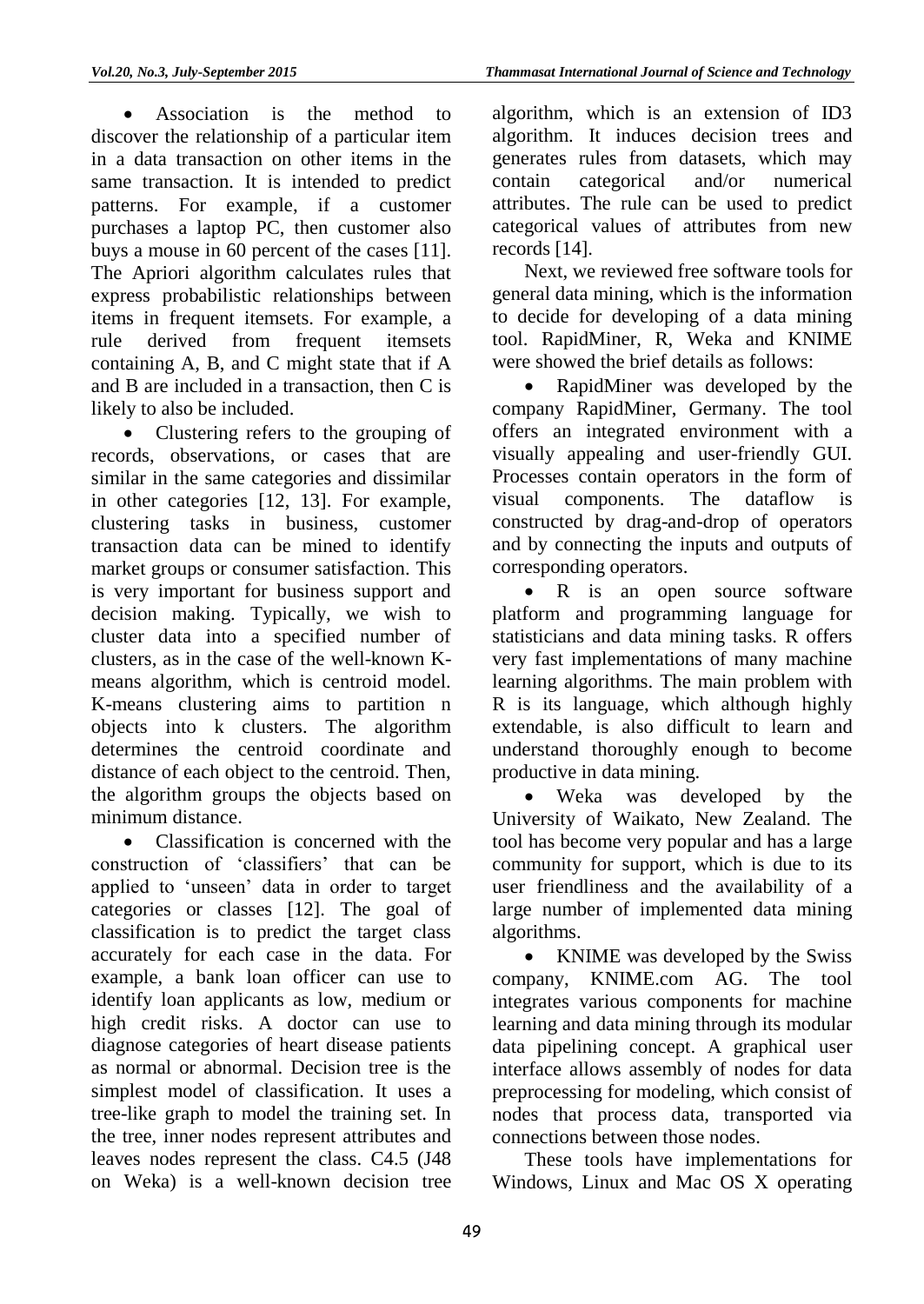Association is the method to discover the relationship of a particular item in a data transaction on other items in the same transaction. It is intended to predict patterns. For example, if a customer purchases a laptop PC, then customer also buys a mouse in 60 percent of the cases [11]. The Apriori algorithm calculates rules that express probabilistic relationships between items in frequent itemsets. For example, a rule derived from frequent itemsets containing A, B, and C might state that if A and B are included in a transaction, then C is likely to also be included.

• Clustering refers to the grouping of records, observations, or cases that are similar in the same categories and dissimilar in other categories [12, 13]. For example, clustering tasks in business, customer transaction data can be mined to identify market groups or consumer satisfaction. This is very important for business support and decision making. Typically, we wish to cluster data into a specified number of clusters, as in the case of the well-known Kmeans algorithm, which is centroid model. K-means clustering aims to partition n objects into k clusters. The algorithm determines the centroid coordinate and distance of each object to the centroid. Then, the algorithm groups the objects based on minimum distance.

 Classification is concerned with the construction of 'classifiers' that can be applied to 'unseen' data in order to target categories or classes [12]. The goal of classification is to predict the target class accurately for each case in the data. For example, a bank loan officer can use to identify loan applicants as low, medium or high credit risks. A doctor can use to diagnose categories of heart disease patients as normal or abnormal. Decision tree is the simplest model of classification. It uses a tree-like graph to model the training set. In the tree, inner nodes represent attributes and leaves nodes represent the class. C4.5 (J48 on Weka) is a well-known decision tree

algorithm, which is an extension of ID3 algorithm. It induces decision trees and generates rules from datasets, which may contain categorical and/or numerical attributes. The rule can be used to predict categorical values of attributes from new records [14].

Next, we reviewed free software tools for general data mining, which is the information to decide for developing of a data mining tool. RapidMiner, R, Weka and KNIME were showed the brief details as follows:

 RapidMiner was developed by the company RapidMiner, Germany. The tool offers an integrated environment with a visually appealing and user-friendly GUI. Processes contain operators in the form of visual components. The dataflow is constructed by drag-and-drop of operators and by connecting the inputs and outputs of corresponding operators.

• R is an open source software platform and programming language for statisticians and data mining tasks. R offers very fast implementations of many machine learning algorithms. The main problem with R is its language, which although highly extendable, is also difficult to learn and understand thoroughly enough to become productive in data mining.

• Weka was developed by the University of Waikato, New Zealand. The tool has become very popular and has a large community for support, which is due to its user friendliness and the availability of a large number of implemented data mining algorithms.

• KNIME was developed by the Swiss company, KNIME.com AG. The tool integrates various components for machine learning and data mining through its modular data pipelining concept. A graphical user interface allows assembly of nodes for data preprocessing for modeling, which consist of nodes that process data, transported via connections between those nodes.

These tools have implementations for Windows, Linux and Mac OS X operating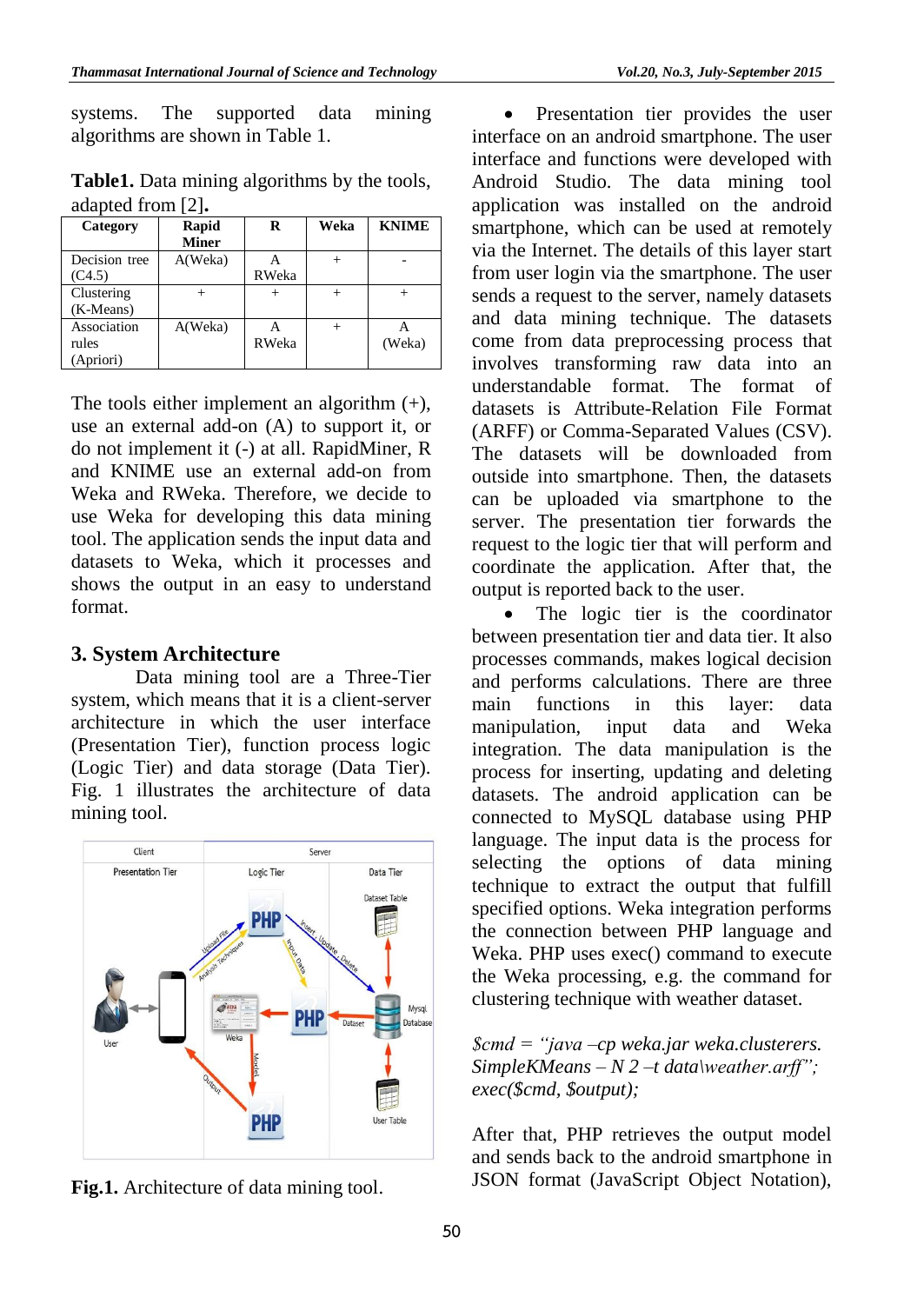systems. The supported data mining algorithms are shown in Table 1.

|                      | Table1. Data mining algorithms by the tools, |
|----------------------|----------------------------------------------|
| adapted from $[2]$ . |                                              |

| Category                          | Rapid<br><b>Miner</b> | R      | Weka   | <b>KNIME</b> |
|-----------------------------------|-----------------------|--------|--------|--------------|
| Decision tree<br>(C4.5)           | A(Weka)               | RWeka  | $^{+}$ |              |
| Clustering<br>(K-Means)           |                       | $^{+}$ | $^{+}$ |              |
| Association<br>rules<br>(Apriori) | A(Weka)               | RWeka  | $^{+}$ | (Weka)       |

The tools either implement an algorithm  $(+)$ , use an external add-on (A) to support it, or do not implement it (-) at all. RapidMiner, R and KNIME use an external add-on from Weka and RWeka. Therefore, we decide to use Weka for developing this data mining tool. The application sends the input data and datasets to Weka, which it processes and shows the output in an easy to understand format.

#### **3. System Architecture**

Data mining tool are a Three-Tier system, which means that it is a client-server architecture in which the user interface (Presentation Tier), function process logic (Logic Tier) and data storage (Data Tier). Fig. 1 illustrates the architecture of data mining tool.



**Fig.1.** Architecture of data mining tool.

• Presentation tier provides the user interface on an android smartphone. The user interface and functions were developed with Android Studio. The data mining tool application was installed on the android smartphone, which can be used at remotely via the Internet. The details of this layer start from user login via the smartphone. The user sends a request to the server, namely datasets and data mining technique. The datasets come from data preprocessing process that involves transforming raw data into an understandable format. The format of datasets is Attribute-Relation File Format (ARFF) or Comma-Separated Values (CSV). The datasets will be downloaded from outside into smartphone. Then, the datasets can be uploaded via smartphone to the server. The presentation tier forwards the request to the logic tier that will perform and coordinate the application. After that, the output is reported back to the user.

 The logic tier is the coordinator between presentation tier and data tier. It also processes commands, makes logical decision and performs calculations. There are three main functions in this layer: data manipulation, input data and Weka integration. The data manipulation is the process for inserting, updating and deleting datasets. The android application can be connected to MySQL database using PHP language. The input data is the process for selecting the options of data mining technique to extract the output that fulfill specified options. Weka integration performs the connection between PHP language and Weka. PHP uses exec() command to execute the Weka processing, e.g. the command for clustering technique with weather dataset.

*\$cmd = "java –cp weka.jar weka.clusterers. SimpleKMeans – N 2 –t data\weather.arff"; exec(\$cmd, \$output);*

After that, PHP retrieves the output model and sends back to the android smartphone in JSON format (JavaScript Object Notation),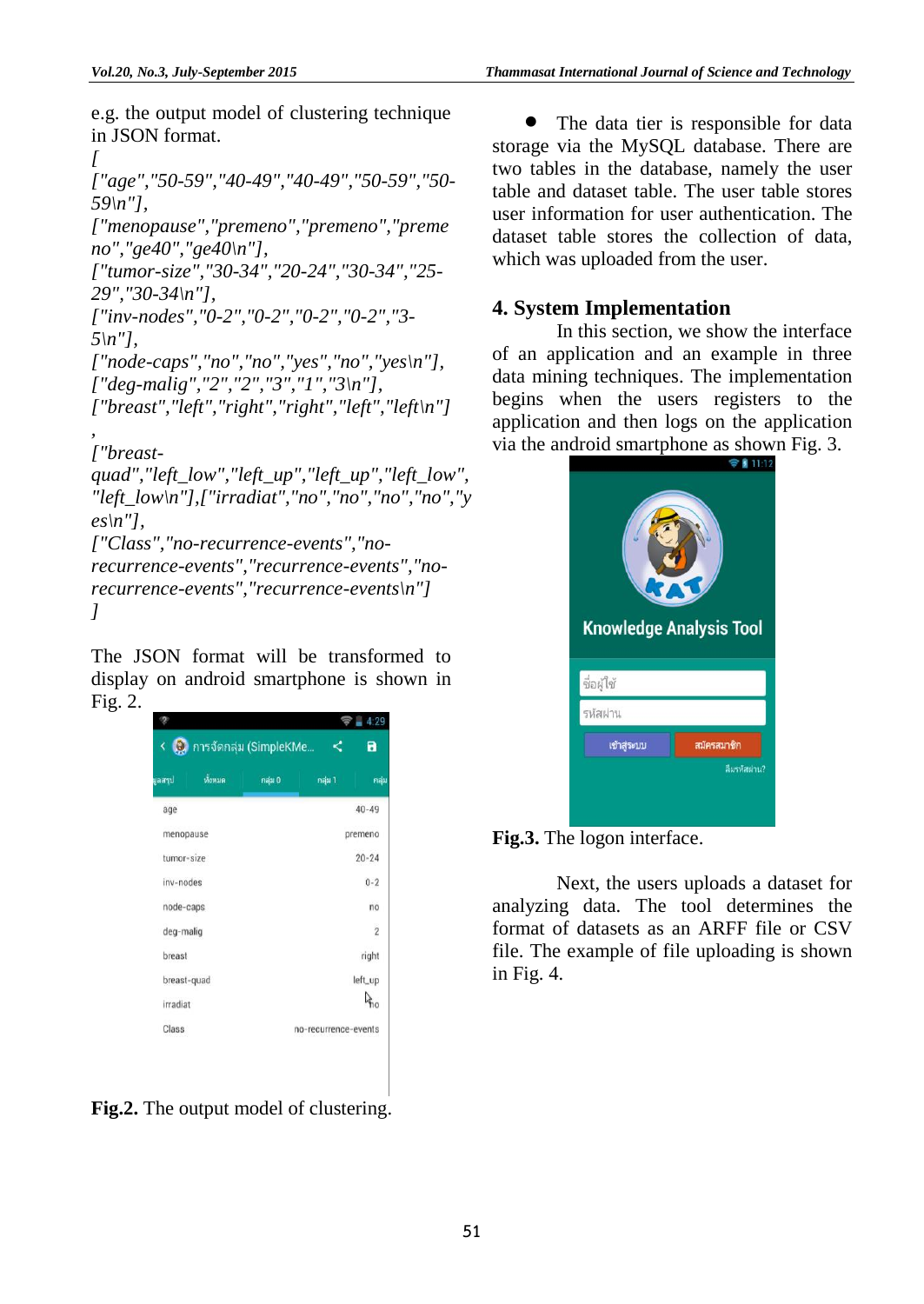e.g. the output model of clustering technique in JSON format.

*[ ["age","50-59","40-49","40-49","50-59","50- 59\n"], ["menopause","premeno","premeno","preme no","ge40","ge40\n"], ["tumor-size","30-34","20-24","30-34","25- 29","30-34\n"], ["inv-nodes","0-2","0-2","0-2","0-2","3- 5\n"], ["node-caps","no","no","yes","no","yes\n"], ["deg-malig","2","2","3","1","3\n"], ["breast","left","right","right","left","left\n"] , ["breastquad","left\_low","left\_up","left\_up","left\_low", "left\_low\n"],["irradiat","no","no","no","no","y es\n"], ["Class","no-recurrence-events","norecurrence-events","recurrence-events","norecurrence-events","recurrence-events\n"]*

*]*

The JSON format will be transformed to display on android smartphone is shown in Fig. 2.

| ทั้งหมด<br>แลสรุป | กลุ่ม 1<br>กลุ่ม 0<br>กลุ่ม |
|-------------------|-----------------------------|
|                   |                             |
| age               | $40 - 49$                   |
| menopause         | premeno                     |
| tumor-size        | $20 - 24$                   |
| inv-nodes         | $0 - 2$                     |
| node-caps         | no                          |
| deg-malig         | $\overline{2}$              |
| breast            | right                       |
| breast-quad       | left_up                     |
| irradiat          | $\vec{r}$ 10                |
| Class             | no-recurrence-events        |

**Fig.2.** The output model of clustering.

• The data tier is responsible for data storage via the MySQL database. There are two tables in the database, namely the user table and dataset table. The user table stores user information for user authentication. The dataset table stores the collection of data, which was uploaded from the user.

## **4. System Implementation**

In this section, we show the interface of an application and an example in three data mining techniques. The implementation begins when the users registers to the application and then logs on the application via the android smartphone as shown Fig. 3.





Next, the users uploads a dataset for analyzing data. The tool determines the format of datasets as an ARFF file or CSV file. The example of file uploading is shown in Fig. 4.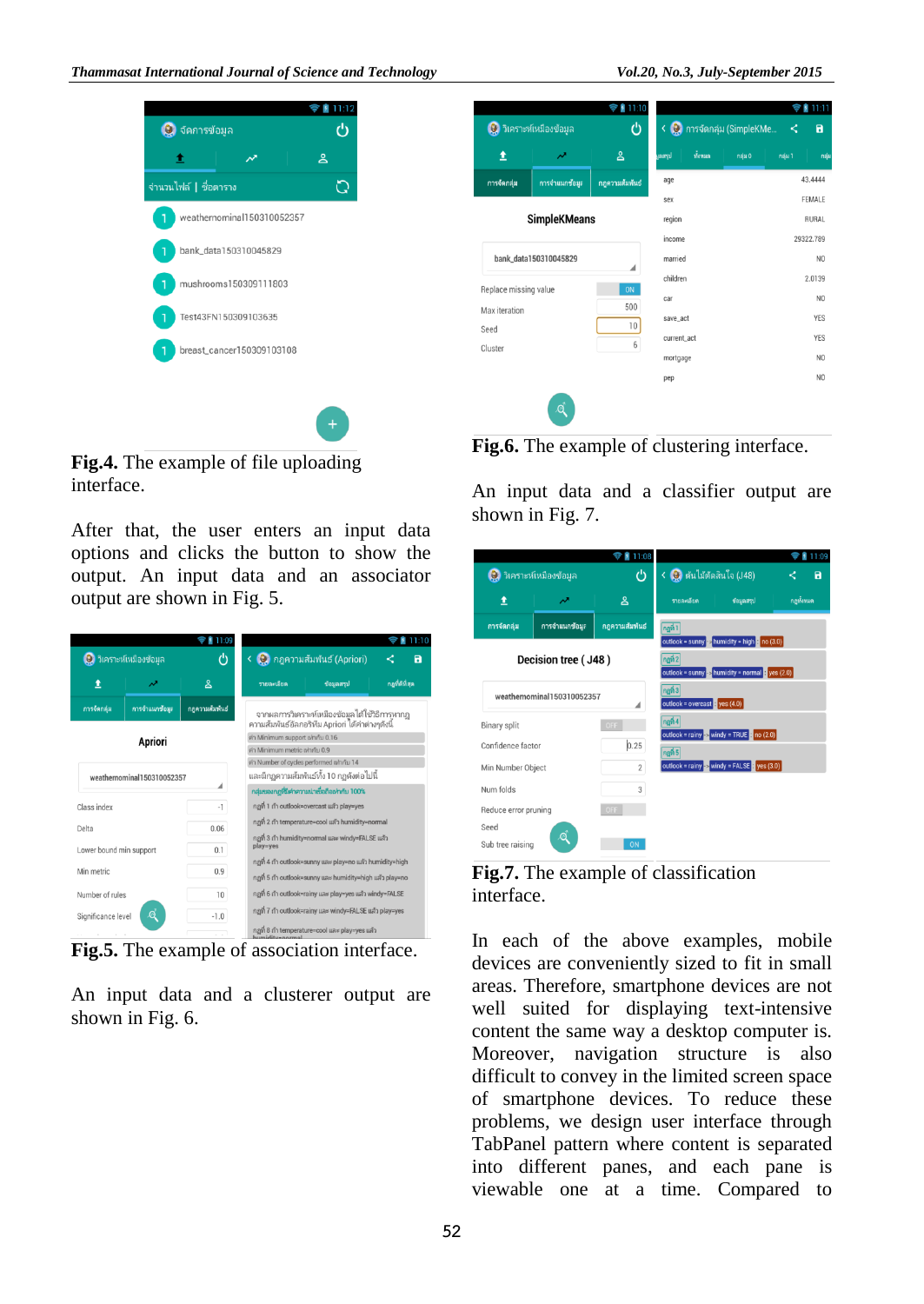

**Fig.4.** The example of file uploading interface.

After that, the user enters an input data options and clicks the button to show the output. An input data and an associator output are shown in Fig. 5.

|                                             |                            | 11:09                                                   |                                                                   |                                                  |  |  |
|---------------------------------------------|----------------------------|---------------------------------------------------------|-------------------------------------------------------------------|--------------------------------------------------|--|--|
| ඵ<br><mark>ป</mark> ี วิเคราะห์เหมืองข้อมูล |                            | < 3 กฎความสัมพันธ์ (Apriori)                            |                                                                   |                                                  |  |  |
|                                             | ∼                          | షి                                                      | กอที่ดีที่สด<br>ช้อมลสรป<br>รายละเอียด                            |                                                  |  |  |
| การจัดกล่ม                                  | การจำแนกข้อมะ              | กลความสัมพันธ์                                          | จากผลการวิเคราะห์เหมืองข้อมูลได้ใช้วิธีการหากฏ                    |                                                  |  |  |
|                                             |                            |                                                         |                                                                   | ความสัมพันธ์อัลกอริทึม Apriori ได้ค่าต่างๆดังนี้ |  |  |
|                                             | Apriori                    |                                                         | ค่า Minimum support เฟากับ 0.16<br>ค่า Minimum metric เข่ากับ 0.9 |                                                  |  |  |
|                                             |                            |                                                         | ค่า Number of cycles performed เท่ากับ 14                         |                                                  |  |  |
|                                             | weathernominal150310052357 |                                                         | และมีกฎความสัมพันธ์ทั้ง 10 กฎดังต่อไปนี้                          |                                                  |  |  |
| ◢                                           |                            | กลุ่มของกฎที่มีคำความนำเชื่อถือเท่ากับ 100%             |                                                                   |                                                  |  |  |
| Class index<br>$-1$                         |                            | กฎที่ 1 ถ้า outlook=overcast แล้ว play=yes              |                                                                   |                                                  |  |  |
|                                             |                            |                                                         | กฎที่ 2 ถ้า temperature=cool แล้ว humidity=normal                 |                                                  |  |  |
| Delta<br>0.06                               |                            | กฎที่ 3 ถ้า humidity=normal และ windy=FALSE แล้ว        |                                                                   |                                                  |  |  |
| Lower bound min support                     |                            | 0.1                                                     | play=yes                                                          |                                                  |  |  |
|                                             |                            |                                                         | กฏที่ 4 ถ้า outlook=sunny และ play=no แล้ว humidity=high          |                                                  |  |  |
| 0.9<br>Min metric                           |                            |                                                         | กฎที่ 5 ถ้า outlook=sunny และ humidity=high แล้ว play=no          |                                                  |  |  |
| Number of rules<br>10                       |                            | กฏที่ 6 ถ้า outlook=rainy และ play=yes แล้ว windy=FALSE |                                                                   |                                                  |  |  |
| റ<br>$-1.0$<br>Significance level           |                            | กฏที่ 7 ถ้า outlook=rainy และ windy=FALSE แล้ว play=yes |                                                                   |                                                  |  |  |
| .                                           |                            |                                                         | กฎที่ 8 ถ้า temperature=cool และ play=yes แล้ว                    |                                                  |  |  |

**Fig.5.** The example of association interface.

An input data and a clusterer output are shown in Fig. 6.

|                       | <b>0</b> วิเคราะห์เหมืองข้อมูล | 11:10<br>$\epsilon$<br>ტ | < 3 การจัดกลุ่ม (SimpleKMe | 11:11<br>$\blacksquare$<br>≺ |
|-----------------------|--------------------------------|--------------------------|----------------------------|------------------------------|
| 土                     | $\boldsymbol{\mathcal{N}}$     | ്ട                       | $\tilde{M}$ enua<br>เลสรูป | กลุ่ม 0<br>กลุ่ม 1<br>กลุ่ม  |
| การจัดกลุ่ม           | การจำแนกข้อมูล                 | กฎความสัมพันธ์           | age                        | 43.4444                      |
|                       |                                |                          | sex                        | FEMALE                       |
|                       | <b>SimpleKMeans</b>            |                          | region                     | <b>RURAL</b>                 |
|                       |                                |                          | income                     | 29322.789                    |
|                       | bank_data150310045829          |                          | married                    | N <sub>0</sub>               |
|                       |                                | ◢                        | children                   | 2.0139                       |
| Replace missing value |                                | ON<br>500                | car                        | N <sub>0</sub>               |
| Max iteration         |                                | 10                       | save_act                   | <b>YES</b>                   |
| Seed                  |                                | 6                        | current_act                | <b>YES</b>                   |
| Cluster               |                                |                          | mortgage                   | N <sub>O</sub>               |
|                       |                                |                          | pep                        | N <sub>O</sub>               |

**Fig.6.** The example of clustering interface.

An input data and a classifier output are shown in Fig. 7.

|                      |                               | <b>11:08</b><br>Ŧ |                                                          |                                                                                                                                     | 11:09                        |
|----------------------|-------------------------------|-------------------|----------------------------------------------------------|-------------------------------------------------------------------------------------------------------------------------------------|------------------------------|
|                      | <b>Q</b> วิเคราะห์เหมืองข้อมล | ტ                 | $\left\langle \right\rangle$ ต้นไม้ตัดสินใจ (J48)        |                                                                                                                                     | $\overline{\mathbf{a}}$<br>≺ |
| ±                    | ₩                             | కి                | รายละเอียด                                               | ช้อมูลสรุป                                                                                                                          | กองเ้งหมด                    |
| การจัดกลุ่ม          | การจำแนกข้อมูล                | กฎความสัมพันธ์    | กฏที่ 1                                                  |                                                                                                                                     |                              |
|                      | Decision tree (J48)           |                   |                                                          | outlook = sunny $\rightarrow$ humidity = high : no (3.0)<br>outlook = sunny $\rightarrow$ humidity = normal $\rightarrow$ yes (2.0) |                              |
|                      | weathernominal150310052357    | ◢                 | $n0$ ที่ 3<br>outlook = overcast $\frac{1}{2}$ yes (4.0) |                                                                                                                                     |                              |
| Binary split         |                               | OFF               | ngh4                                                     | outlook = rainy $\rightarrow$ windy = TRUE $\cdot$ no (2.0)                                                                         |                              |
| Confidence factor    |                               | 0.25              | $n$ an 5                                                 |                                                                                                                                     |                              |
| Min Number Object    |                               | $\overline{2}$    |                                                          | outlook = rainy > windy = FALSE = yes (3.0)                                                                                         |                              |
| Num folds            |                               | 3                 |                                                          |                                                                                                                                     |                              |
| Reduce error pruning |                               | OFF               |                                                          |                                                                                                                                     |                              |
| Seed                 | Q                             |                   |                                                          |                                                                                                                                     |                              |
| Sub tree raising     |                               | ON                |                                                          |                                                                                                                                     |                              |



In each of the above examples, mobile devices are conveniently sized to fit in small areas. Therefore, smartphone devices are not well suited for displaying text-intensive content the same way a desktop computer is. Moreover, navigation structure is also difficult to convey in the limited screen space of smartphone devices. To reduce these problems, we design user interface through TabPanel pattern where content is separated into different panes, and each pane is viewable one at a time. Compared to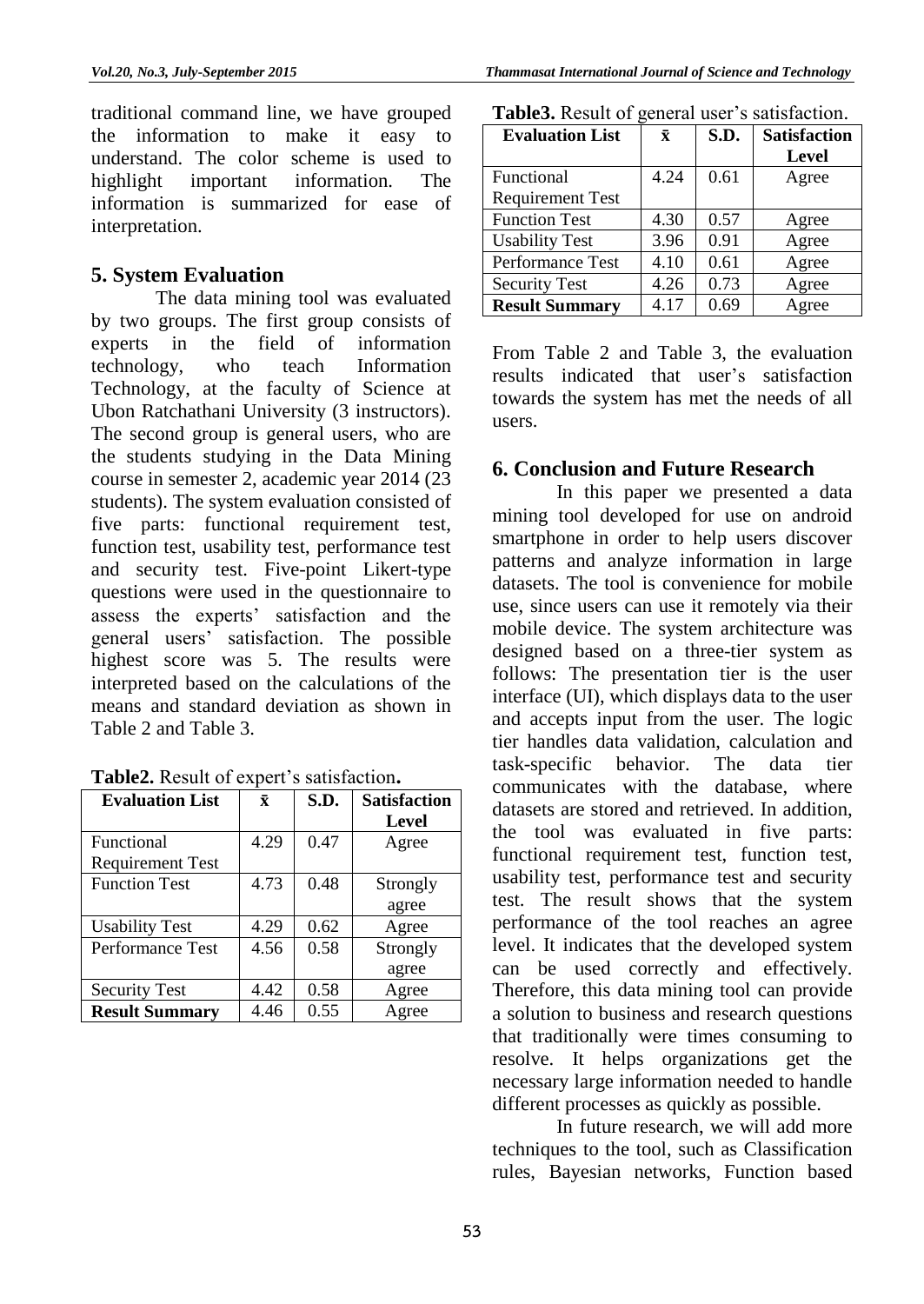traditional command line, we have grouped the information to make it easy to understand. The color scheme is used to highlight important information. The information is summarized for ease of interpretation.

## **5. System Evaluation**

The data mining tool was evaluated by two groups. The first group consists of experts in the field of information technology, who teach Information Technology, at the faculty of Science at Ubon Ratchathani University (3 instructors). The second group is general users, who are the students studying in the Data Mining course in semester 2, academic year 2014 (23 students). The system evaluation consisted of five parts: functional requirement test, function test, usability test, performance test and security test. Five-point Likert-type questions were used in the questionnaire to assess the experts' satisfaction and the general users' satisfaction. The possible highest score was 5. The results were interpreted based on the calculations of the means and standard deviation as shown in Table 2 and Table 3.

|  |  | Table2. Result of expert's satisfaction. |
|--|--|------------------------------------------|
|  |  |                                          |

| <b>Evaluation List</b>  | $\bar{\mathbf{x}}$ | S.D. | <b>Satisfaction</b> |
|-------------------------|--------------------|------|---------------------|
|                         |                    |      | Level               |
| Functional              | 4.29               | 0.47 | Agree               |
| <b>Requirement Test</b> |                    |      |                     |
| <b>Function Test</b>    | 4.73               | 0.48 | Strongly            |
|                         |                    |      | agree               |
| <b>Usability Test</b>   | 4.29               | 0.62 | Agree               |
| Performance Test        | 4.56               | 0.58 | Strongly            |
|                         |                    |      | agree               |
| <b>Security Test</b>    | 4.42               | 0.58 | Agree               |
| <b>Result Summary</b>   | 4.46               | 0.55 | Agree               |

| <b>Evaluation List</b>  | $\bf \bar{x}$ | S.D. | <b>Satisfaction</b> |
|-------------------------|---------------|------|---------------------|
|                         |               |      | <b>Level</b>        |
| Functional              | 4.24          | 0.61 | Agree               |
| <b>Requirement Test</b> |               |      |                     |
| <b>Function Test</b>    | 4.30          | 0.57 | Agree               |
| <b>Usability Test</b>   | 3.96          | 0.91 | Agree               |
| Performance Test        | 4.10          | 0.61 | Agree               |
| <b>Security Test</b>    | 4.26          | 0.73 | Agree               |
| <b>Result Summary</b>   | 4.17          | 0.69 | Agree               |

**Table3.** Result of general user's satisfaction.

From Table 2 and Table 3, the evaluation results indicated that user's satisfaction towards the system has met the needs of all users.

## **6. Conclusion and Future Research**

In this paper we presented a data mining tool developed for use on android smartphone in order to help users discover patterns and analyze information in large datasets. The tool is convenience for mobile use, since users can use it remotely via their mobile device. The system architecture was designed based on a three-tier system as follows: The presentation tier is the user interface (UI), which displays data to the user and accepts input from the user. The logic tier handles data validation, calculation and task-specific behavior. The data tier communicates with the database, where datasets are stored and retrieved. In addition, the tool was evaluated in five parts: functional requirement test, function test, usability test, performance test and security test. The result shows that the system performance of the tool reaches an agree level. It indicates that the developed system can be used correctly and effectively. Therefore, this data mining tool can provide a solution to business and research questions that traditionally were times consuming to resolve. It helps organizations get the necessary large information needed to handle different processes as quickly as possible.

In future research, we will add more techniques to the tool, such as Classification rules, Bayesian networks, Function based